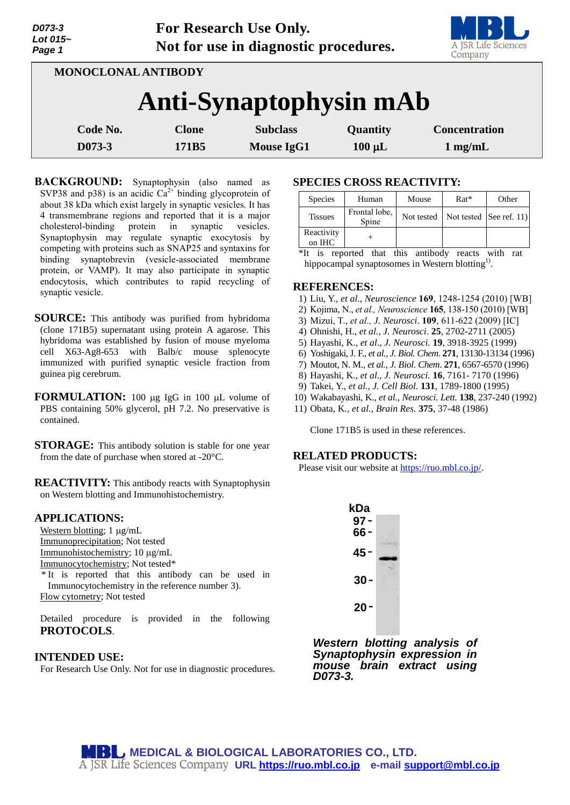| Lot 015~<br>Page 1     |                    | A JSR Life Sciences<br>Company |                                      |                         |                                           |  |  |  |  |
|------------------------|--------------------|--------------------------------|--------------------------------------|-------------------------|-------------------------------------------|--|--|--|--|
| MONOCLONAL ANTIBODY    |                    |                                |                                      |                         |                                           |  |  |  |  |
| Anti-Synaptophysin mAb |                    |                                |                                      |                         |                                           |  |  |  |  |
|                        | Code No.<br>D073-3 | <b>Clone</b><br>171B5          | <b>Subclass</b><br><b>Mouse IgG1</b> | Quantity<br>$100 \mu L$ | <b>Concentration</b><br>$1 \text{ mg/mL}$ |  |  |  |  |
|                        |                    |                                |                                      |                         |                                           |  |  |  |  |

**For Research Use Only.**

**BACKGROUND:** Synaptophysin (also named as SVP38 and p38) is an acidic  $Ca^{2+}$  binding glycoprotein of about 38 kDa which exist largely in synaptic vesicles. It has 4 transmembrane regions and reported that it is a major cholesterol-binding protein in synaptic vesicles. Synaptophysin may regulate synaptic exocytosis by competing with proteins such as SNAP25 and syntaxins for binding synaptobrevin (vesicle-associated membrane protein, or VAMP). It may also participate in synaptic endocytosis, which contributes to rapid recycling of synaptic vesicle.

- **SOURCE:** This antibody was purified from hybridoma (clone 171B5) supernatant using protein A agarose. This hybridoma was established by fusion of mouse myeloma cell X63-Ag8-653 with Balb/c mouse splenocyte immunized with purified synaptic vesicle fraction from guinea pig cerebrum.
- **FORMULATION:** 100 µg IgG in 100 µL volume of PBS containing 50% glycerol, pH 7.2. No preservative is contained.
- **STORAGE:** This antibody solution is stable for one year from the date of purchase when stored at -20°C.

**REACTIVITY:** This antibody reacts with Synaptophysin on Western blotting and Immunohistochemistry.

### **APPLICATIONS:**

*D073-3*

Western blotting;  $1 \mu g/mL$ Immunoprecipitation; Not tested Immunohistochemistry; 10 µg/mL Immunocytochemistry; Not tested\*

\* It is reported that this antibody can be used in Immunocytochemistry in the reference number 3). Flow cytometry; Not tested

Detailed procedure is provided in the following **PROTOCOLS**.

### **INTENDED USE:**

For Research Use Only. Not for use in diagnostic procedures.

# **SPECIES CROSS REACTIVITY:**

| <b>Species</b>                                                                       | Human                  | Mouse      | $Rat*$                  | Other |  |  |
|--------------------------------------------------------------------------------------|------------------------|------------|-------------------------|-------|--|--|
| <b>Tissues</b>                                                                       | Frontal lobe,<br>Spine | Not tested | Not tested See ref. 11) |       |  |  |
| Reactivity<br>on IHC                                                                 |                        |            |                         |       |  |  |
| *T+<br>represented that this entitled<br>1<br>$max = +$<br>$\mathcal{L}$<br>$\cdots$ |                        |            |                         |       |  |  |

\*It is reported that this antibody reacts with rat hippocampal synaptosomes in Western blotting<sup>1)</sup>.

#### **REFERENCES:**

- 1) Liu, Y., *et al*., *Neuroscience* **169**, 1248-1254 (2010) [WB]
- 2) Kojima, N., *et al., Neuroscience* **165**, 138-150 (2010) [WB]
- 3) Mizui, T., *et al., J. Neurosci*. **109**, 611-622 (2009) [IC]
- 4) Ohnishi, H., *et al., J. Neurosci*. **25**, 2702-2711 (2005)
- 5) Hayashi, K., *et al*., *J. Neurosci.* **19**, 3918-3925 (1999)
- 6) Yoshigaki, J. F., *et al., J. Biol. Chem*. **271**, 13130-13134 (1996)
- 7) Moutot, N. M., *et al., J. Biol. Chem*. **271**, 6567-6570 (1996)
- 8) Hayashi, K., *et al., J. Neurosci.* **16**, 7161- 7170 (1996)
- 9) Takei, Y., *et al., J. Cell Biol*. **131**, 1789-1800 (1995)
- 10) Wakabayashi, K., *et al., Neurosci. Lett.* **138**, 237-240 (1992)
- 11) Obata, K*., et al., Brain Res.* **375**, 37-48 (1986)

Clone 171B5 is used in these references.

### **RELATED PRODUCTS:**

Please visit our website at [https://ruo.mbl.co.jp/.](https://ruo.mbl.co.jp/)



*Western blotting analysis of Synaptophysin expression in mouse brain extract using D073-3.*